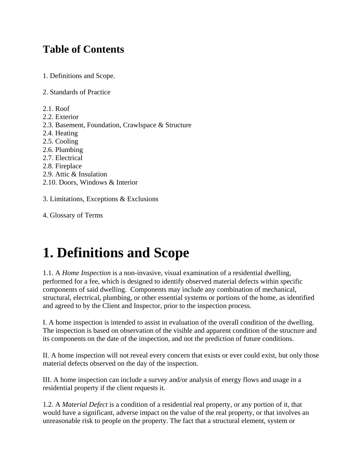### **Table of Contents**

- 1. Definitions and Scope.
- 2. Standards of Practice
- 2.1. Roof
- 2.2. Exterior
- 2.3. Basement, Foundation, Crawlspace & Structure
- 2.4. Heating
- 2.5. Cooling
- 2.6. Plumbing
- 2.7. Electrical
- 2.8. Fireplace
- 2.9. Attic & Insulation
- 2.10. Doors, Windows & Interior

3. Limitations, Exceptions & Exclusions

4. Glossary of Terms

# **1. Definitions and Scope**

1.1. A *Home Inspection* is a non-invasive, visual examination of a residential dwelling, performed for a fee, which is designed to identify observed material defects within specific components of said dwelling. Components may include any combination of mechanical, structural, electrical, plumbing, or other essential systems or portions of the home, as identified and agreed to by the Client and Inspector, prior to the inspection process.

I. A home inspection is intended to assist in evaluation of the overall condition of the dwelling. The inspection is based on observation of the visible and apparent condition of the structure and its components on the date of the inspection, and not the prediction of future conditions.

II. A home inspection will not reveal every concern that exists or ever could exist, but only those material defects observed on the day of the inspection.

III. A home inspection can include a survey and/or analysis of energy flows and usage in a residential property if the client requests it.

1.2. A *Material Defect* is a condition of a residential real property, or any portion of it, that would have a significant, adverse impact on the value of the real property, or that involves an unreasonable risk to people on the property. The fact that a structural element, system or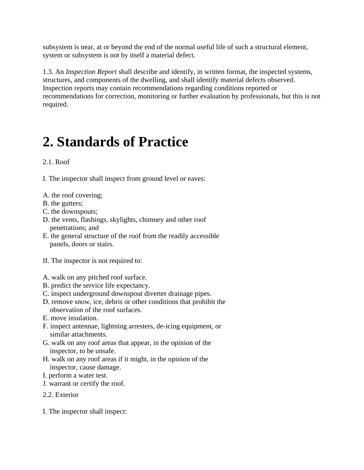subsystem is near, at or beyond the end of the normal useful life of such a structural element, system or subsystem is not by itself a material defect.

1.3. An *Inspection Report* shall describe and identify, in written format, the inspected systems, structures, and components of the dwelling, and shall identify material defects observed. Inspection reports may contain recommendations regarding conditions reported or recommendations for correction, monitoring or further evaluation by professionals, but this is not required.

## **2. Standards of Practice**

#### 2.1. Roof

I. The inspector shall inspect from ground level or eaves:

- A. the roof covering;
- B. the gutters;
- C. the downspouts;
- D. the vents, flashings, skylights, chimney and other roof penetrations; and
- E. the general structure of the roof from the readily accessible panels, doors or stairs.
- II. The inspector is not required to:
- A. walk on any pitched roof surface.
- B. predict the service life expectancy.
- C. inspect underground downspout diverter drainage pipes.
- D. remove snow, ice, debris or other conditions that prohibit the observation of the roof surfaces.
- E. move insulation.
- F. inspect antennae, lightning arresters, de-icing equipment, or similar attachments.
- G. walk on any roof areas that appear, in the opinion of the inspector, to be unsafe.
- H. walk on any roof areas if it might, in the opinion of the inspector, cause damage.
- I. perform a water test.
- J. warrant or certify the roof.
- 2.2. Exterior
- I. The inspector shall inspect: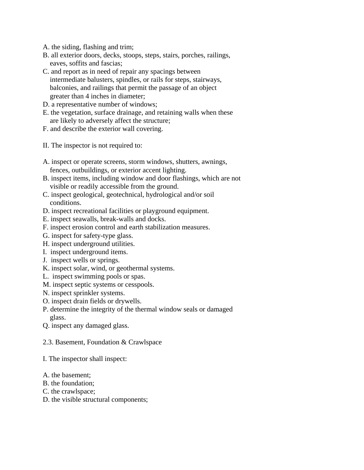- A. the siding, flashing and trim;
- B. all exterior doors, decks, stoops, steps, stairs, porches, railings, eaves, soffits and fascias;
- C. and report as in need of repair any spacings between
- intermediate balusters, spindles, or rails for steps, stairways, balconies, and railings that permit the passage of an object greater than 4 inches in diameter;
- D. a representative number of windows;
- E. the vegetation, surface drainage, and retaining walls when these are likely to adversely affect the structure;
- F. and describe the exterior wall covering.
- II. The inspector is not required to:
- A. inspect or operate screens, storm windows, shutters, awnings, fences, outbuildings, or exterior accent lighting.
- B. inspect items, including window and door flashings, which are not visible or readily accessible from the ground.
- C. inspect geological, geotechnical, hydrological and/or soil conditions.
- D. inspect recreational facilities or playground equipment.
- E. inspect seawalls, break-walls and docks.
- F. inspect erosion control and earth stabilization measures.
- G. inspect for safety-type glass.
- H. inspect underground utilities.
- I. inspect underground items.
- J. inspect wells or springs.
- K. inspect solar, wind, or geothermal systems.
- L. inspect swimming pools or spas.
- M. inspect septic systems or cesspools.
- N. inspect sprinkler systems.
- O. inspect drain fields or drywells.
- P. determine the integrity of the thermal window seals or damaged glass.
- Q. inspect any damaged glass.
- 2.3. Basement, Foundation & Crawlspace
- I. The inspector shall inspect:
- A. the basement;
- B. the foundation;
- C. the crawlspace;
- D. the visible structural components;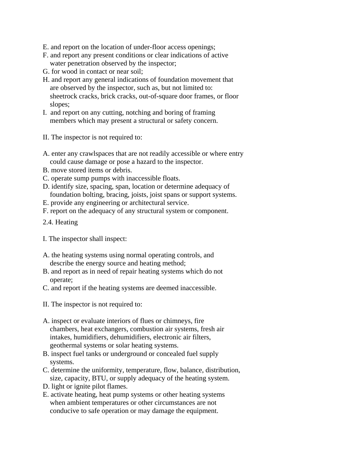- E. and report on the location of under-floor access openings;
- F. and report any present conditions or clear indications of active water penetration observed by the inspector;
- G. for wood in contact or near soil;
- H. and report any general indications of foundation movement that are observed by the inspector, such as, but not limited to: sheetrock cracks, brick cracks, out-of-square door frames, or floor slopes;
- I. and report on any cutting, notching and boring of framing members which may present a structural or safety concern.
- II. The inspector is not required to:
- A. enter any crawlspaces that are not readily accessible or where entry could cause damage or pose a hazard to the inspector.
- B. move stored items or debris.
- C. operate sump pumps with inaccessible floats.
- D. identify size, spacing, span, location or determine adequacy of foundation bolting, bracing, joists, joist spans or support systems.
- E. provide any engineering or architectural service.
- F. report on the adequacy of any structural system or component.
- 2.4. Heating
- I. The inspector shall inspect:
- A. the heating systems using normal operating controls, and describe the energy source and heating method;
- B. and report as in need of repair heating systems which do not operate;
- C. and report if the heating systems are deemed inaccessible.
- II. The inspector is not required to:
- A. inspect or evaluate interiors of flues or chimneys, fire chambers, heat exchangers, combustion air systems, fresh air intakes, humidifiers, dehumidifiers, electronic air filters, geothermal systems or solar heating systems.
- B. inspect fuel tanks or underground or concealed fuel supply systems.
- C. determine the uniformity, temperature, flow, balance, distribution, size, capacity, BTU, or supply adequacy of the heating system.
- D. light or ignite pilot flames.
- E. activate heating, heat pump systems or other heating systems when ambient temperatures or other circumstances are not conducive to safe operation or may damage the equipment.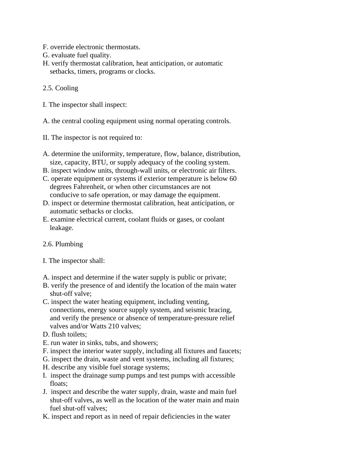- F. override electronic thermostats.
- G. evaluate fuel quality.
- H. verify thermostat calibration, heat anticipation, or automatic setbacks, timers, programs or clocks.
- 2.5. Cooling
- I. The inspector shall inspect:
- A. the central cooling equipment using normal operating controls.
- II. The inspector is not required to:
- A. determine the uniformity, temperature, flow, balance, distribution, size, capacity, BTU, or supply adequacy of the cooling system.
- B. inspect window units, through-wall units, or electronic air filters.
- C. operate equipment or systems if exterior temperature is below 60 degrees Fahrenheit, or when other circumstances are not conducive to safe operation, or may damage the equipment.
- D. inspect or determine thermostat calibration, heat anticipation, or automatic setbacks or clocks.
- E. examine electrical current, coolant fluids or gases, or coolant leakage.
- 2.6. Plumbing
- I. The inspector shall:
- A. inspect and determine if the water supply is public or private;
- B. verify the presence of and identify the location of the main water shut-off valve;
- C. inspect the water heating equipment, including venting, connections, energy source supply system, and seismic bracing, and verify the presence or absence of temperature-pressure relief valves and/or Watts 210 valves;
- D. flush toilets:
- E. run water in sinks, tubs, and showers;
- F. inspect the interior water supply, including all fixtures and faucets;
- G. inspect the drain, waste and vent systems, including all fixtures;
- H. describe any visible fuel storage systems;
- I. inspect the drainage sump pumps and test pumps with accessible floats;
- J. inspect and describe the water supply, drain, waste and main fuel shut-off valves, as well as the location of the water main and main fuel shut-off valves;
- K. inspect and report as in need of repair deficiencies in the water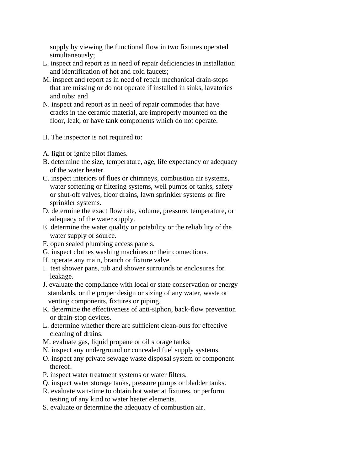supply by viewing the functional flow in two fixtures operated simultaneously;

- L. inspect and report as in need of repair deficiencies in installation and identification of hot and cold faucets;
- M. inspect and report as in need of repair mechanical drain-stops that are missing or do not operate if installed in sinks, lavatories and tubs; and
- N. inspect and report as in need of repair commodes that have cracks in the ceramic material, are improperly mounted on the floor, leak, or have tank components which do not operate.
- II. The inspector is not required to:
- A. light or ignite pilot flames.
- B. determine the size, temperature, age, life expectancy or adequacy of the water heater.
- C. inspect interiors of flues or chimneys, combustion air systems, water softening or filtering systems, well pumps or tanks, safety or shut-off valves, floor drains, lawn sprinkler systems or fire sprinkler systems.
- D. determine the exact flow rate, volume, pressure, temperature, or adequacy of the water supply.
- E. determine the water quality or potability or the reliability of the water supply or source.
- F. open sealed plumbing access panels.
- G. inspect clothes washing machines or their connections.
- H. operate any main, branch or fixture valve.
- I. test shower pans, tub and shower surrounds or enclosures for leakage.
- J. evaluate the compliance with local or state conservation or energy standards, or the proper design or sizing of any water, waste or venting components, fixtures or piping.
- K. determine the effectiveness of anti-siphon, back-flow prevention or drain-stop devices.
- L. determine whether there are sufficient clean-outs for effective cleaning of drains.
- M. evaluate gas, liquid propane or oil storage tanks.
- N. inspect any underground or concealed fuel supply systems.
- O. inspect any private sewage waste disposal system or component thereof.
- P. inspect water treatment systems or water filters.
- Q. inspect water storage tanks, pressure pumps or bladder tanks.
- R. evaluate wait-time to obtain hot water at fixtures, or perform testing of any kind to water heater elements.
- S. evaluate or determine the adequacy of combustion air.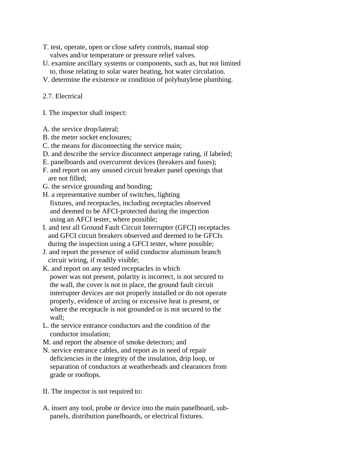- T. test, operate, open or close safety controls, manual stop valves and/or temperature or pressure relief valves.
- U. examine ancillary systems or components, such as, but not limited to, those relating to solar water heating, hot water circulation.
- V. determine the existence or condition of polybutylene plumbing.

#### 2.7. Electrical

- I. The inspector shall inspect:
- A. the service drop/lateral;
- B. the meter socket enclosures;
- C. the means for disconnecting the service main;
- D. and describe the service disconnect amperage rating, if labeled;
- E. panelboards and overcurrent devices (breakers and fuses);
- F. and report on any unused circuit breaker panel openings that are not filled;
- G. the service grounding and bonding;
- H. a representative number of switches, lighting fixtures, and receptacles, including receptacles observed and deemed to be AFCI-protected during the inspection using an AFCI tester, where possible;
- I. and test all Ground Fault Circuit Interrupter (GFCI) receptacles and GFCI circuit breakers observed and deemed to be GFCIs during the inspection using a GFCI tester, where possible;
- J. and report the presence of solid conductor aluminum branch circuit wiring, if readily visible;
- K. and report on any tested receptacles in which power was not present, polarity is incorrect, is not secured to the wall, the cover is not in place, the ground fault circuit interrupter devices are not properly installed or do not operate properly, evidence of arcing or excessive heat is present, or where the receptacle is not grounded or is not secured to the wall;
- L. the service entrance conductors and the condition of the conductor insulation;
- M. and report the absence of smoke detectors; and
- N. service entrance cables, and report as in need of repair deficiencies in the integrity of the insulation, drip loop, or separation of conductors at weatherheads and clearances from grade or rooftops.
- II. The inspector is not required to:
- A. insert any tool, probe or device into the main panelboard, sub panels, distribution panelboards, or electrical fixtures.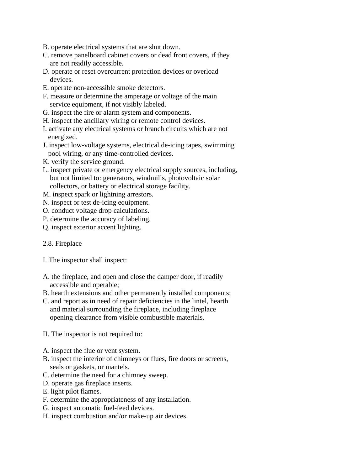- B. operate electrical systems that are shut down.
- C. remove panelboard cabinet covers or dead front covers, if they are not readily accessible.
- D. operate or reset overcurrent protection devices or overload devices.
- E. operate non-accessible smoke detectors.
- F. measure or determine the amperage or voltage of the main service equipment, if not visibly labeled.
- G. inspect the fire or alarm system and components.
- H. inspect the ancillary wiring or remote control devices.
- I. activate any electrical systems or branch circuits which are not energized.
- J. inspect low-voltage systems, electrical de-icing tapes, swimming pool wiring, or any time-controlled devices.
- K. verify the service ground.
- L. inspect private or emergency electrical supply sources, including, but not limited to: generators, windmills, photovoltaic solar collectors, or battery or electrical storage facility.
- M. inspect spark or lightning arrestors.
- N. inspect or test de-icing equipment.
- O. conduct voltage drop calculations.
- P. determine the accuracy of labeling.
- Q. inspect exterior accent lighting.

#### 2.8. Fireplace

- I. The inspector shall inspect:
- A. the fireplace, and open and close the damper door, if readily accessible and operable;
- B. hearth extensions and other permanently installed components;
- C. and report as in need of repair deficiencies in the lintel, hearth and material surrounding the fireplace, including fireplace opening clearance from visible combustible materials.
- II. The inspector is not required to:
- A. inspect the flue or vent system.
- B. inspect the interior of chimneys or flues, fire doors or screens, seals or gaskets, or mantels.
- C. determine the need for a chimney sweep.
- D. operate gas fireplace inserts.
- E. light pilot flames.
- F. determine the appropriateness of any installation.
- G. inspect automatic fuel-feed devices.
- H. inspect combustion and/or make-up air devices.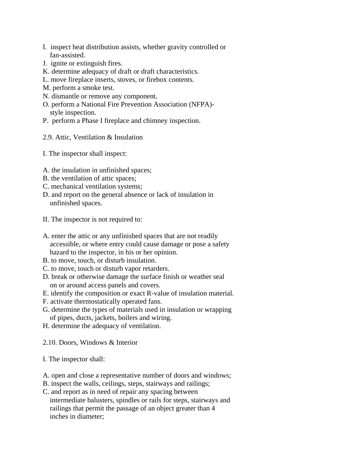- I. inspect heat distribution assists, whether gravity controlled or fan-assisted.
- J. ignite or extinguish fires.
- K. determine adequacy of draft or draft characteristics.
- L. move fireplace inserts, stoves, or firebox contents.
- M. perform a smoke test.
- N. dismantle or remove any component.
- O. perform a National Fire Prevention Association (NFPA) style inspection.
- P. perform a Phase I fireplace and chimney inspection.
- 2.9. Attic, Ventilation & Insulation
- I. The inspector shall inspect:
- A. the insulation in unfinished spaces;
- B. the ventilation of attic spaces;
- C. mechanical ventilation systems;
- D. and report on the general absence or lack of insulation in unfinished spaces.
- II. The inspector is not required to:
- A. enter the attic or any unfinished spaces that are not readily accessible, or where entry could cause damage or pose a safety hazard to the inspector, in his or her opinion.
- B. to move, touch, or disturb insulation.
- C. to move, touch or disturb vapor retarders.
- D. break or otherwise damage the surface finish or weather seal on or around access panels and covers.
- E. identify the composition or exact R-value of insulation material.
- F. activate thermostatically operated fans.
- G. determine the types of materials used in insulation or wrapping of pipes, ducts, jackets, boilers and wiring.
- H. determine the adequacy of ventilation.
- 2.10. Doors, Windows & Interior
- I. The inspector shall:
- A. open and close a representative number of doors and windows;
- B. inspect the walls, ceilings, steps, stairways and railings;
- C. and report as in need of repair any spacing between intermediate balusters, spindles or rails for steps, stairways and railings that permit the passage of an object greater than 4 inches in diameter;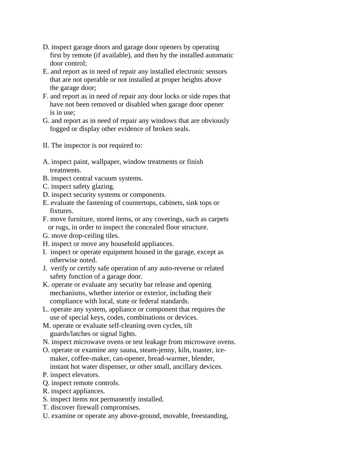- D. inspect garage doors and garage door openers by operating first by remote (if available), and then by the installed automatic door control;
- E. and report as in need of repair any installed electronic sensors that are not operable or not installed at proper heights above the garage door;
- F. and report as in need of repair any door locks or side ropes that have not been removed or disabled when garage door opener is in use;
- G. and report as in need of repair any windows that are obviously fogged or display other evidence of broken seals.
- II. The inspector is not required to:
- A. inspect paint, wallpaper, window treatments or finish treatments.
- B. inspect central vacuum systems.
- C. inspect safety glazing.
- D. inspect security systems or components.
- E. evaluate the fastening of countertops, cabinets, sink tops or fixtures.
- F. move furniture, stored items, or any coverings, such as carpets or rugs, in order to inspect the concealed floor structure.
- G. move drop-ceiling tiles.
- H. inspect or move any household appliances.
- I. inspect or operate equipment housed in the garage, except as otherwise noted.
- J. verify or certify safe operation of any auto-reverse or related safety function of a garage door.
- K. operate or evaluate any security bar release and opening mechanisms, whether interior or exterior, including their compliance with local, state or federal standards.
- L. operate any system, appliance or component that requires the use of special keys, codes, combinations or devices.
- M. operate or evaluate self-cleaning oven cycles, tilt guards/latches or signal lights.
- N. inspect microwave ovens or test leakage from microwave ovens.
- O. operate or examine any sauna, steam-jenny, kiln, toaster, ice maker, coffee-maker, can-opener, bread-warmer, blender, instant hot water dispenser, or other small, ancillary devices.
- P. inspect elevators.
- Q. inspect remote controls.
- R. inspect appliances.
- S. inspect items not permanently installed.
- T. discover firewall compromises.
- U. examine or operate any above-ground, movable, freestanding,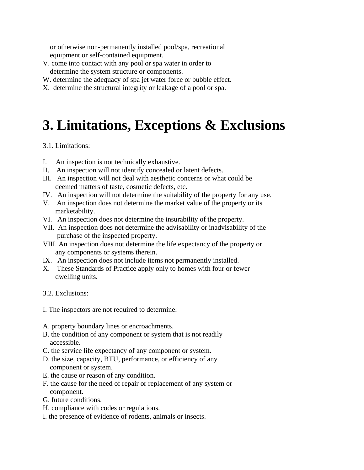or otherwise non-permanently installed pool/spa, recreational equipment or self-contained equipment.

- V. come into contact with any pool or spa water in order to determine the system structure or components.
- W. determine the adequacy of spa jet water force or bubble effect.
- X. determine the structural integrity or leakage of a pool or spa.

### **3. Limitations, Exceptions & Exclusions**

#### 3.1. Limitations:

- I. An inspection is not technically exhaustive.
- II. An inspection will not identify concealed or latent defects.
- III. An inspection will not deal with aesthetic concerns or what could be deemed matters of taste, cosmetic defects, etc.
- IV. An inspection will not determine the suitability of the property for any use.
- V. An inspection does not determine the market value of the property or its marketability.
- VI. An inspection does not determine the insurability of the property.
- VII. An inspection does not determine the advisability or inadvisability of the purchase of the inspected property.
- VIII. An inspection does not determine the life expectancy of the property or any components or systems therein.
- IX. An inspection does not include items not permanently installed.
- X. These Standards of Practice apply only to homes with four or fewer dwelling units.
- 3.2. Exclusions:
- I. The inspectors are not required to determine:
- A. property boundary lines or encroachments.
- B. the condition of any component or system that is not readily accessible.
- C. the service life expectancy of any component or system.
- D. the size, capacity, BTU, performance, or efficiency of any component or system.
- E. the cause or reason of any condition.
- F. the cause for the need of repair or replacement of any system or component.
- G. future conditions.
- H. compliance with codes or regulations.
- I. the presence of evidence of rodents, animals or insects.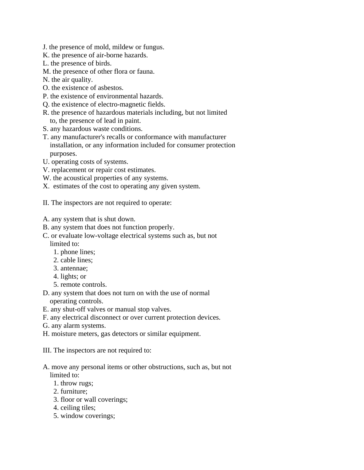- J. the presence of mold, mildew or fungus.
- K. the presence of air-borne hazards.
- L. the presence of birds.
- M. the presence of other flora or fauna.
- N. the air quality.
- O. the existence of asbestos.
- P. the existence of environmental hazards.
- Q. the existence of electro-magnetic fields.
- R. the presence of hazardous materials including, but not limited to, the presence of lead in paint.
- S. any hazardous waste conditions.
- T. any manufacturer's recalls or conformance with manufacturer installation, or any information included for consumer protection purposes.
- U. operating costs of systems.
- V. replacement or repair cost estimates.
- W. the acoustical properties of any systems.
- X. estimates of the cost to operating any given system.
- II. The inspectors are not required to operate:
- A. any system that is shut down.
- B. any system that does not function properly.
- C. or evaluate low-voltage electrical systems such as, but not
	- limited to:
	- 1. phone lines;
	- 2. cable lines;
	- 3. antennae;
	- 4. lights; or
	- 5. remote controls.
- D. any system that does not turn on with the use of normal operating controls.
- E. any shut-off valves or manual stop valves.
- F. any electrical disconnect or over current protection devices.
- G. any alarm systems.
- H. moisture meters, gas detectors or similar equipment.
- III. The inspectors are not required to:
- A. move any personal items or other obstructions, such as, but not limited to:
	- 1. throw rugs;
	- 2. furniture;
	- 3. floor or wall coverings;
	- 4. ceiling tiles;
	- 5. window coverings;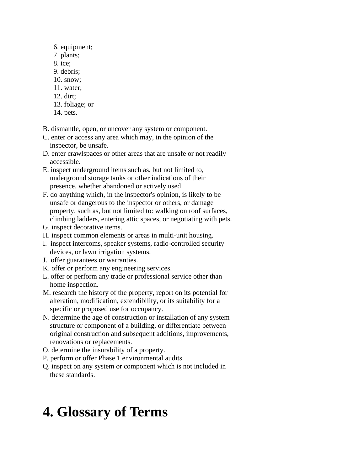- 6. equipment;
- 7. plants;
- 8. ice;
- 9. debris;
- 10. snow;
- 11. water;
- 12. dirt;
- 13. foliage; or
- 14. pets.
- B. dismantle, open, or uncover any system or component.
- C. enter or access any area which may, in the opinion of the inspector, be unsafe.
- D. enter crawlspaces or other areas that are unsafe or not readily accessible.
- E. inspect underground items such as, but not limited to, underground storage tanks or other indications of their presence, whether abandoned or actively used.
- F. do anything which, in the inspector's opinion, is likely to be unsafe or dangerous to the inspector or others, or damage property, such as, but not limited to: walking on roof surfaces, climbing ladders, entering attic spaces, or negotiating with pets.
- G. inspect decorative items.
- H. inspect common elements or areas in multi-unit housing.
- I. inspect intercoms, speaker systems, radio-controlled security devices, or lawn irrigation systems.
- J. offer guarantees or warranties.
- K. offer or perform any engineering services.
- L. offer or perform any trade or professional service other than home inspection.
- M. research the history of the property, report on its potential for alteration, modification, extendibility, or its suitability for a specific or proposed use for occupancy.
- N. determine the age of construction or installation of any system structure or component of a building, or differentiate between original construction and subsequent additions, improvements, renovations or replacements.
- O. determine the insurability of a property.
- P. perform or offer Phase 1 environmental audits.
- Q. inspect on any system or component which is not included in these standards.

# **4. Glossary of Terms**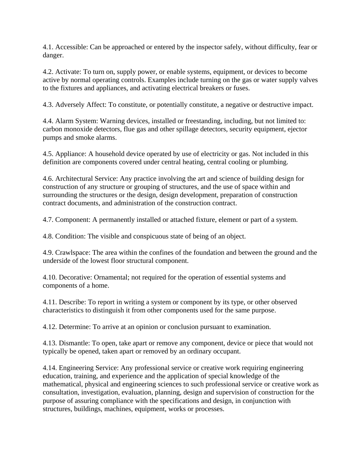4.1. Accessible: Can be approached or entered by the inspector safely, without difficulty, fear or danger.

4.2. Activate: To turn on, supply power, or enable systems, equipment, or devices to become active by normal operating controls. Examples include turning on the gas or water supply valves to the fixtures and appliances, and activating electrical breakers or fuses.

4.3. Adversely Affect: To constitute, or potentially constitute, a negative or destructive impact.

4.4. Alarm System: Warning devices, installed or freestanding, including, but not limited to: carbon monoxide detectors, flue gas and other spillage detectors, security equipment, ejector pumps and smoke alarms.

4.5. Appliance: A household device operated by use of electricity or gas. Not included in this definition are components covered under central heating, central cooling or plumbing.

4.6. Architectural Service: Any practice involving the art and science of building design for construction of any structure or grouping of structures, and the use of space within and surrounding the structures or the design, design development, preparation of construction contract documents, and administration of the construction contract.

4.7. Component: A permanently installed or attached fixture, element or part of a system.

4.8. Condition: The visible and conspicuous state of being of an object.

4.9. Crawlspace: The area within the confines of the foundation and between the ground and the underside of the lowest floor structural component.

4.10. Decorative: Ornamental; not required for the operation of essential systems and components of a home.

4.11. Describe: To report in writing a system or component by its type, or other observed characteristics to distinguish it from other components used for the same purpose.

4.12. Determine: To arrive at an opinion or conclusion pursuant to examination.

4.13. Dismantle: To open, take apart or remove any component, device or piece that would not typically be opened, taken apart or removed by an ordinary occupant.

4.14. Engineering Service: Any professional service or creative work requiring engineering education, training, and experience and the application of special knowledge of the mathematical, physical and engineering sciences to such professional service or creative work as consultation, investigation, evaluation, planning, design and supervision of construction for the purpose of assuring compliance with the specifications and design, in conjunction with structures, buildings, machines, equipment, works or processes.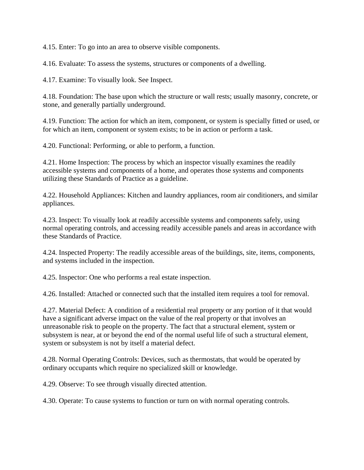4.15. Enter: To go into an area to observe visible components.

4.16. Evaluate: To assess the systems, structures or components of a dwelling.

4.17. Examine: To visually look. See Inspect.

4.18. Foundation: The base upon which the structure or wall rests; usually masonry, concrete, or stone, and generally partially underground.

4.19. Function: The action for which an item, component, or system is specially fitted or used, or for which an item, component or system exists; to be in action or perform a task.

4.20. Functional: Performing, or able to perform, a function.

4.21. Home Inspection: The process by which an inspector visually examines the readily accessible systems and components of a home, and operates those systems and components utilizing these Standards of Practice as a guideline.

4.22. Household Appliances: Kitchen and laundry appliances, room air conditioners, and similar appliances.

4.23. Inspect: To visually look at readily accessible systems and components safely, using normal operating controls, and accessing readily accessible panels and areas in accordance with these Standards of Practice.

4.24. Inspected Property: The readily accessible areas of the buildings, site, items, components, and systems included in the inspection.

4.25. Inspector: One who performs a real estate inspection.

4.26. Installed: Attached or connected such that the installed item requires a tool for removal.

4.27. Material Defect: A condition of a residential real property or any portion of it that would have a significant adverse impact on the value of the real property or that involves an unreasonable risk to people on the property. The fact that a structural element, system or subsystem is near, at or beyond the end of the normal useful life of such a structural element, system or subsystem is not by itself a material defect.

4.28. Normal Operating Controls: Devices, such as thermostats, that would be operated by ordinary occupants which require no specialized skill or knowledge.

4.29. Observe: To see through visually directed attention.

4.30. Operate: To cause systems to function or turn on with normal operating controls.